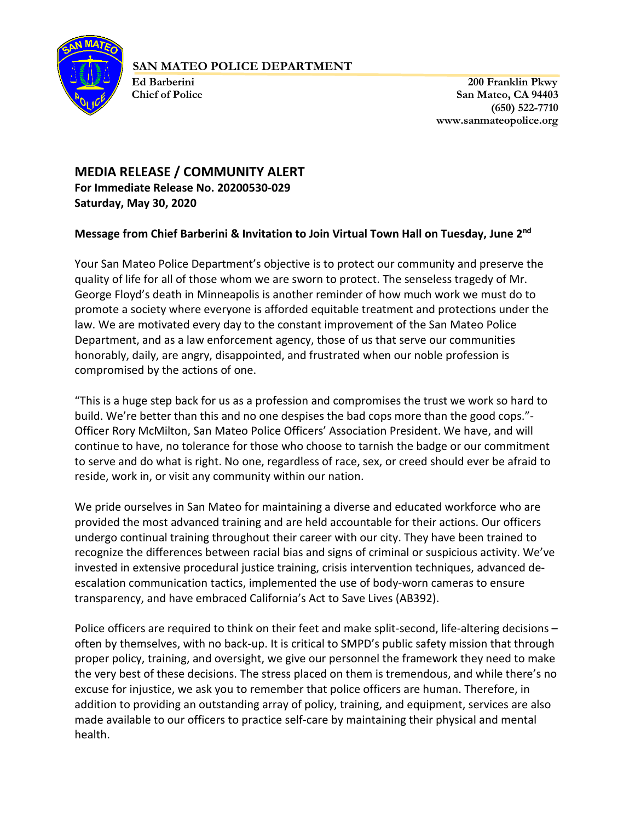

### **SAN MATEO POLICE DEPARTMENT**

 **Ed Barberini 200 Franklin Pkwy Chief of Police San Mateo, CA 94403 (650) 522-7710 www.sanmateopolice.org**

# **MEDIA RELEASE / COMMUNITY ALERT For Immediate Release No. 20200530-029 Saturday, May 30, 2020**

## **Message from Chief Barberini & Invitation to Join Virtual Town Hall on Tuesday, June 2nd**

Your San Mateo Police Department's objective is to protect our community and preserve the quality of life for all of those whom we are sworn to protect. The senseless tragedy of Mr. George Floyd's death in Minneapolis is another reminder of how much work we must do to promote a society where everyone is afforded equitable treatment and protections under the law. We are motivated every day to the constant improvement of the San Mateo Police Department, and as a law enforcement agency, those of us that serve our communities honorably, daily, are angry, disappointed, and frustrated when our noble profession is compromised by the actions of one.

"This is a huge step back for us as a profession and compromises the trust we work so hard to build. We're better than this and no one despises the bad cops more than the good cops."- Officer Rory McMilton, San Mateo Police Officers' Association President. We have, and will continue to have, no tolerance for those who choose to tarnish the badge or our commitment to serve and do what is right. No one, regardless of race, sex, or creed should ever be afraid to reside, work in, or visit any community within our nation.

We pride ourselves in San Mateo for maintaining a diverse and educated workforce who are provided the most advanced training and are held accountable for their actions. Our officers undergo continual training throughout their career with our city. They have been trained to recognize the differences between racial bias and signs of criminal or suspicious activity. We've invested in extensive procedural justice training, crisis intervention techniques, advanced deescalation communication tactics, implemented the use of body-worn cameras to ensure transparency, and have embraced California's Act to Save Lives (AB392).

Police officers are required to think on their feet and make split-second, life-altering decisions – often by themselves, with no back-up. It is critical to SMPD's public safety mission that through proper policy, training, and oversight, we give our personnel the framework they need to make the very best of these decisions. The stress placed on them is tremendous, and while there's no excuse for injustice, we ask you to remember that police officers are human. Therefore, in addition to providing an outstanding array of policy, training, and equipment, services are also made available to our officers to practice self-care by maintaining their physical and mental health.